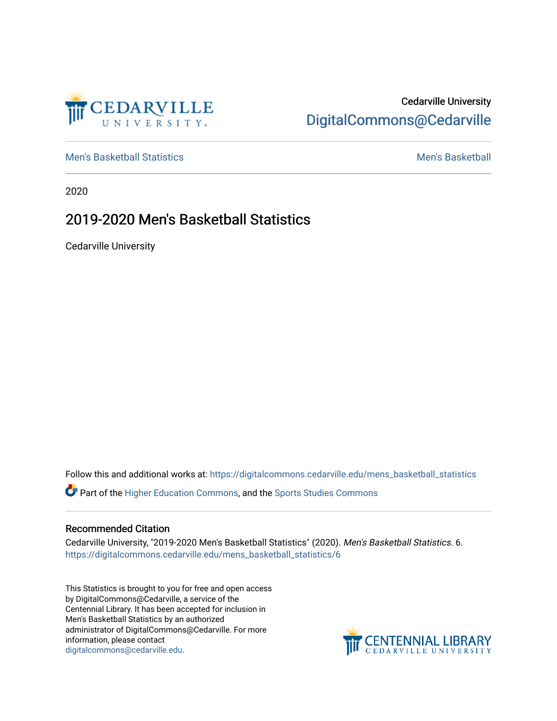

## Cedarville University [DigitalCommons@Cedarville](https://digitalcommons.cedarville.edu/)

[Men's Basketball Statistics](https://digitalcommons.cedarville.edu/mens_basketball_statistics) [Men's Basketball](https://digitalcommons.cedarville.edu/mens_basketball) 

2020

## 2019-2020 Men's Basketball Statistics

Cedarville University

Follow this and additional works at: [https://digitalcommons.cedarville.edu/mens\\_basketball\\_statistics](https://digitalcommons.cedarville.edu/mens_basketball_statistics?utm_source=digitalcommons.cedarville.edu%2Fmens_basketball_statistics%2F6&utm_medium=PDF&utm_campaign=PDFCoverPages) 

Part of the [Higher Education Commons,](http://network.bepress.com/hgg/discipline/1245?utm_source=digitalcommons.cedarville.edu%2Fmens_basketball_statistics%2F6&utm_medium=PDF&utm_campaign=PDFCoverPages) and the [Sports Studies Commons](http://network.bepress.com/hgg/discipline/1198?utm_source=digitalcommons.cedarville.edu%2Fmens_basketball_statistics%2F6&utm_medium=PDF&utm_campaign=PDFCoverPages) 

## Recommended Citation

Cedarville University, "2019-2020 Men's Basketball Statistics" (2020). Men's Basketball Statistics. 6. [https://digitalcommons.cedarville.edu/mens\\_basketball\\_statistics/6](https://digitalcommons.cedarville.edu/mens_basketball_statistics/6?utm_source=digitalcommons.cedarville.edu%2Fmens_basketball_statistics%2F6&utm_medium=PDF&utm_campaign=PDFCoverPages) 

This Statistics is brought to you for free and open access by DigitalCommons@Cedarville, a service of the Centennial Library. It has been accepted for inclusion in Men's Basketball Statistics by an authorized administrator of DigitalCommons@Cedarville. For more information, please contact [digitalcommons@cedarville.edu](mailto:digitalcommons@cedarville.edu).